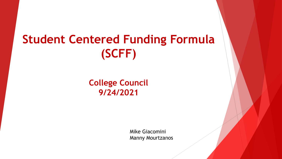# **Student Centered Funding Formula (SCFF)**

#### **College Council 9/24/2021**

Mike Giacomini Manny Mourtzanos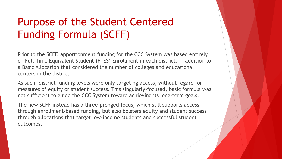#### Purpose of the Student Centered Funding Formula (SCFF)

Prior to the SCFF, apportionment funding for the CCC System was based entirely on Full-Time Equivalent Student (FTES) Enrollment in each district, in addition to a Basic Allocation that considered the number of colleges and educational centers in the district.

As such, district funding levels were only targeting access, without regard for measures of equity or student success. This singularly-focused, basic formula was not sufficient to guide the CCC System toward achieving its long-term goals.

The new SCFF instead has a three-pronged focus, which still supports access through enrollment-based funding, but also bolsters equity and student success through allocations that target low-income students and successful student outcomes.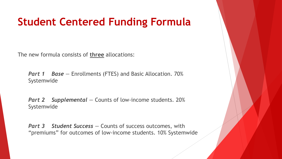#### **Student Centered Funding Formula**

The new formula consists of **three** allocations:

**Part 1 Base** – Enrollments (FTES) and Basic Allocation. 70% Systemwide

*Part 2 Supplemental —* Counts of low-income students. 20% Systemwide

*Part 3 Student Success – Counts of success outcomes, with* "premiums" for outcomes of low-income students. 10% Systemwide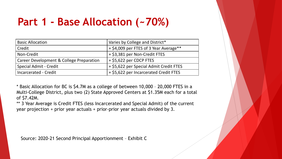#### **Part 1 - Base Allocation (~70%)**

| <b>Basic Allocation</b>                             | Varies by College and District*         |  |  |
|-----------------------------------------------------|-----------------------------------------|--|--|
| Credit                                              | + \$4,009 per FTES of 3 Year Average**  |  |  |
| Non-Credit                                          | + \$3,381 per Non-Credit FTES           |  |  |
| <b>Career Development &amp; College Preparation</b> | + \$5,622 per CDCP FTES                 |  |  |
| Special Admit - Credit                              | + \$5,622 per Special Admit Credit FTES |  |  |
| <b>Incarcerated - Credit</b>                        | + \$5,622 per Incarcerated Credit FTES  |  |  |

\* Basic Allocation for BC is \$4.7M as a college of between 10,000 – 20,000 FTES in a Multi-College District, plus two (2) State Approved Centers at \$1.35M each for a total of \$7.42M.

\*\* 3 Year Average is Credit FTES (less Incarcerated and Special Admit) of the current year projection + prior year actuals + prior-prior year actuals divided by 3.

Source: 2020-21 Second Principal Apportionment – Exhibit C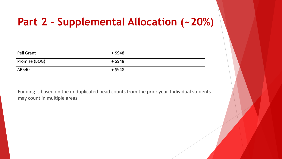#### **Part 2 - Supplemental Allocation (~20%)**

| Pell Grant    | + \$948 |
|---------------|---------|
| Promise (BOG) | + \$948 |
| AB540         | + \$948 |

Funding is based on the unduplicated head counts from the prior year. Individual students may count in multiple areas.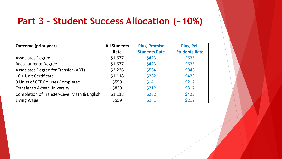#### **Part 3 - Student Success Allocation (~10%)**

| <b>Outcome (prior year)</b>                 | <b>All Students</b> | <b>Plus, Promise</b> | <b>Plus, Pell</b>    |
|---------------------------------------------|---------------------|----------------------|----------------------|
|                                             | Rate                | <b>Students Rate</b> | <b>Students Rate</b> |
| <b>Associates Degree</b>                    | \$1,677             | \$423                | \$635                |
| <b>Baccalaureate Degree</b>                 | \$1,677             | \$423                | \$635                |
| Associates Degree for Transfer (ADT)        | \$2,236             | \$564                | \$846                |
| 16 + Unit Certificate                       | \$1,118             | \$282                | \$423                |
| 9 Units of CTE Courses Completed            | \$559               | \$141                | \$212                |
| Transfer to 4-Year University               | \$839               | \$212                | \$317                |
| Completion of Transfer-Level Math & English | \$1,118             | \$282                | \$423                |
| Living Wage                                 | \$559               | \$141                | \$212                |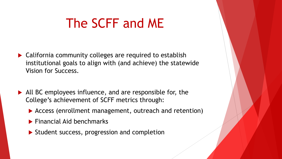- ▶ California community colleges are required to establish institutional goals to align with (and achieve) the statewide Vision for Success.
- ▶ All BC employees influence, and are responsible for, the College's achievement of SCFF metrics through:
	- ▶ Access (enrollment management, outreach and retention)
	- $\blacktriangleright$  Financial Aid benchmarks
	- $\triangleright$  Student success, progression and completion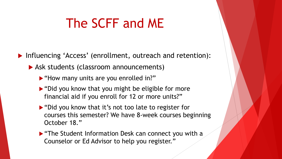Influencing 'Access' (enrollment, outreach and retention):

- Ask students (classroom announcements)
	- "How many units are you enrolled in?"
	- $\triangleright$  "Did you know that you might be eligible for more financial aid if you enroll for 12 or more units?"
	- ▶ "Did you know that it's not too late to register for courses this semester? We have 8-week courses beginning October 18."
	- **F** "The Student Information Desk can connect you with a Counselor or Ed Advisor to help you register."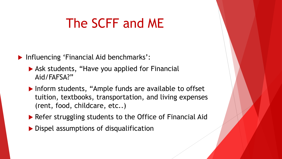**Influencing 'Financial Aid benchmarks':** 

- ▶ Ask students, "Have you applied for Financial Aid/FAFSA?"
- ▶ Inform students, "Ample funds are available to offset tuition, textbooks, transportation, and living expenses (rent, food, childcare, etc..)
- ▶ Refer struggling students to the Office of Financial Aid
- ▶ Dispel assumptions of disqualification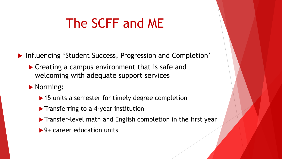▶ Influencing 'Student Success, Progression and Completion'

- ▶ Creating a campus environment that is safe and welcoming with adequate support services
- Norming:
	- ▶ 15 units a semester for timely degree completion
	- $\blacktriangleright$  Transferring to a 4-year institution
	- **Transfer-level math and English completion in the first year**
	- ▶ 9+ career education units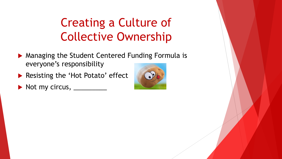# Creating a Culture of Collective Ownership

- ▶ Managing the Student Centered Funding Formula is everyone's responsibility
- Resisting the 'Hot Potato' effect
- $\triangleright$  Not my circus,  $\_\_$

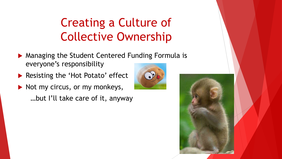## Creating a Culture of Collective Ownership

- ▶ Managing the Student Centered Funding Formula is everyone's responsibility
- ▶ Resisting the 'Hot Potato' effect
- $\blacktriangleright$  Not my circus, or my monkeys, …but I'll take care of it, anyway